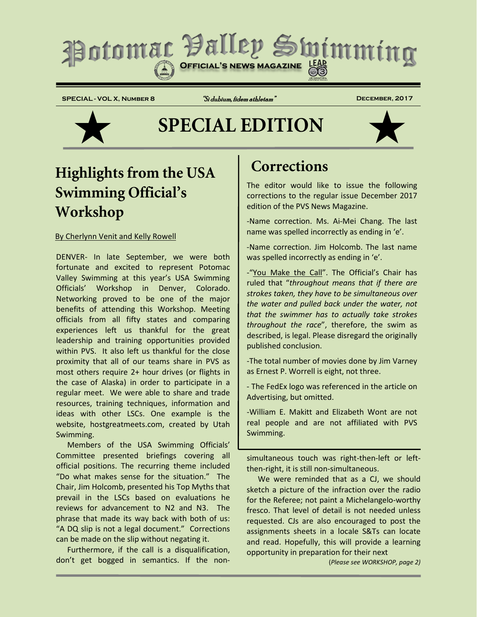# Potomac Valley Swimming

**SPECIAL - VOL X, Number 8** "Si dubium, fidem athletam" **December, 2017**

# **SPECIAL EDITION**



# **Highlights from the USA Swimming Official's Workshop**

### By Cherlynn Venit and Kelly Rowell

DENVER- In late September, we were both fortunate and excited to represent Potomac Valley Swimming at this year's USA Swimming Officials' Workshop in Denver, Colorado. Networking proved to be one of the major benefits of attending this Workshop. Meeting officials from all fifty states and comparing experiences left us thankful for the great leadership and training opportunities provided within PVS. It also left us thankful for the close proximity that all of our teams share in PVS as most others require 2+ hour drives (or flights in the case of Alaska) in order to participate in a regular meet. We were able to share and trade resources, training techniques, information and ideas with other LSCs. One example is the website, hostgreatmeets.com, created by Utah Swimming.

Members of the USA Swimming Officials' Committee presented briefings covering all official positions. The recurring theme included "Do what makes sense for the situation." The Chair, Jim Holcomb, presented his Top Myths that prevail in the LSCs based on evaluations he reviews for advancement to N2 and N3. The phrase that made its way back with both of us: "A DQ slip is not a legal document." Corrections can be made on the slip without negating it.

Furthermore, if the call is a disqualification, don't get bogged in semantics. If the non-

# **Corrections**

The editor would like to issue the following corrections to the regular issue December 2017 edition of the PVS News Magazine.

-Name correction. Ms. Ai-Mei Chang. The last name was spelled incorrectly as ending in 'e'.

-Name correction. Jim Holcomb. The last name was spelled incorrectly as ending in 'e'.

-"You Make the Call". The Official's Chair has ruled that "*throughout means that if there are strokes taken, they have to be simultaneous over the water and pulled back under the water, not that the swimmer has to actually take strokes throughout the race*", therefore, the swim as described, is legal. Please disregard the originally published conclusion.

-The total number of movies done by Jim Varney as Ernest P. Worrell is eight, not three.

- The FedEx logo was referenced in the article on Advertising, but omitted.

-William E. Makitt and Elizabeth Wont are not real people and are not affiliated with PVS Swimming.

simultaneous touch was right-then-left or leftthen-right, it is still non-simultaneous.

We were reminded that as a CJ, we should sketch a picture of the infraction over the radio for the Referee; not paint a Michelangelo-worthy fresco. That level of detail is not needed unless requested. CJs are also encouraged to post the assignments sheets in a locale S&Ts can locate and read. Hopefully, this will provide a learning opportunity in preparation for their next

(*Please see WORKSHOP, page 2)*